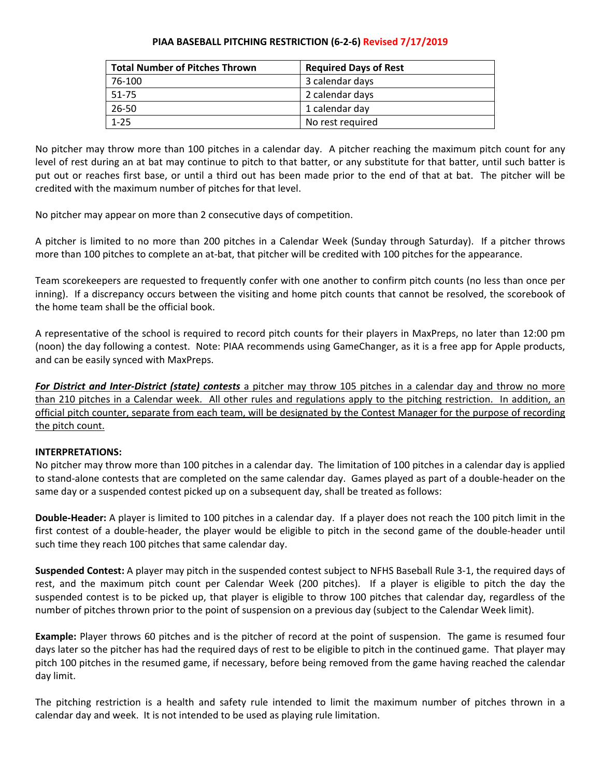## **PIAA BASEBALL PITCHING RESTRICTION (6‐2‐6) Revised 7/17/2019**

| <b>Total Number of Pitches Thrown</b> | <b>Required Days of Rest</b> |
|---------------------------------------|------------------------------|
| 76-100                                | 3 calendar days              |
| 51-75                                 | 2 calendar days              |
| 26-50                                 | 1 calendar day               |
| $1 - 25$                              | No rest required             |

No pitcher may throw more than 100 pitches in a calendar day. A pitcher reaching the maximum pitch count for any level of rest during an at bat may continue to pitch to that batter, or any substitute for that batter, until such batter is put out or reaches first base, or until a third out has been made prior to the end of that at bat. The pitcher will be credited with the maximum number of pitches for that level.

No pitcher may appear on more than 2 consecutive days of competition.

A pitcher is limited to no more than 200 pitches in a Calendar Week (Sunday through Saturday). If a pitcher throws more than 100 pitches to complete an at-bat, that pitcher will be credited with 100 pitches for the appearance.

Team scorekeepers are requested to frequently confer with one another to confirm pitch counts (no less than once per inning). If a discrepancy occurs between the visiting and home pitch counts that cannot be resolved, the scorebook of the home team shall be the official book.

A representative of the school is required to record pitch counts for their players in MaxPreps, no later than 12:00 pm (noon) the day following a contest. Note: PIAA recommends using GameChanger, as it is a free app for Apple products, and can be easily synced with MaxPreps.

*For District and Inter‐District (state) contests* a pitcher may throw 105 pitches in a calendar day and throw no more than 210 pitches in a Calendar week. All other rules and regulations apply to the pitching restriction. In addition, an official pitch counter, separate from each team, will be designated by the Contest Manager for the purpose of recording the pitch count.

## **INTERPRETATIONS:**

No pitcher may throw more than 100 pitches in a calendar day. The limitation of 100 pitches in a calendar day is applied to stand‐alone contests that are completed on the same calendar day. Games played as part of a double‐header on the same day or a suspended contest picked up on a subsequent day, shall be treated as follows:

**Double‐Header:** A player is limited to 100 pitches in a calendar day. If a player does not reach the 100 pitch limit in the first contest of a double-header, the player would be eligible to pitch in the second game of the double-header until such time they reach 100 pitches that same calendar day.

**Suspended Contest:** A player may pitch in the suspended contest subject to NFHS Baseball Rule 3‐1, the required days of rest, and the maximum pitch count per Calendar Week (200 pitches). If a player is eligible to pitch the day the suspended contest is to be picked up, that player is eligible to throw 100 pitches that calendar day, regardless of the number of pitches thrown prior to the point of suspension on a previous day (subject to the Calendar Week limit).

**Example:** Player throws 60 pitches and is the pitcher of record at the point of suspension. The game is resumed four days later so the pitcher has had the required days of rest to be eligible to pitch in the continued game. That player may pitch 100 pitches in the resumed game, if necessary, before being removed from the game having reached the calendar day limit.

The pitching restriction is a health and safety rule intended to limit the maximum number of pitches thrown in a calendar day and week. It is not intended to be used as playing rule limitation.